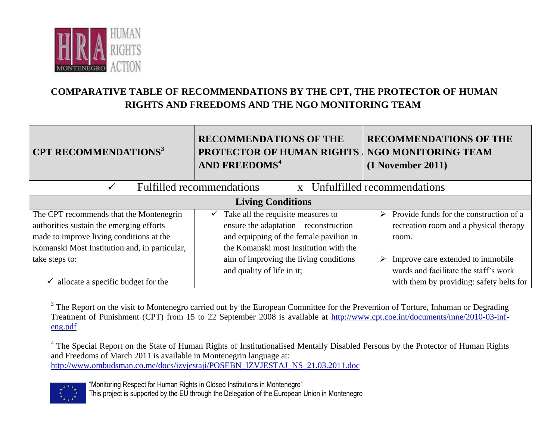

## **COMPARATIVE TABLE OF RECOMMENDATIONS BY THE CPT, THE PROTECTOR OF HUMAN RIGHTS AND FREEDOMS AND THE NGO MONITORING TEAM**

| <b>CPT RECOMMENDATIONS</b> <sup>3</sup>       | <b>RECOMMENDATIONS OF THE</b><br><b>PROTECTOR OF HUMAN RIGHTS</b><br><b>AND FREEDOMS<sup>4</sup></b> | <b>RECOMMENDATIONS OF THE</b><br><b>NGO MONITORING TEAM</b><br>$(1$ November 2011) |
|-----------------------------------------------|------------------------------------------------------------------------------------------------------|------------------------------------------------------------------------------------|
| $\checkmark$                                  | <b>Fulfilled recommendations</b>                                                                     | x Unfulfilled recommendations                                                      |
|                                               | <b>Living Conditions</b>                                                                             |                                                                                    |
| The CPT recommends that the Montenegrin       | $\checkmark$ Take all the requisite measures to                                                      | Provide funds for the construction of a<br>$\triangleright$                        |
| authorities sustain the emerging efforts      | ensure the adaptation – reconstruction                                                               | recreation room and a physical therapy                                             |
| made to improve living conditions at the      | and equipping of the female pavilion in                                                              | room.                                                                              |
| Komanski Most Institution and, in particular, | the Komanski most Institution with the                                                               |                                                                                    |
| take steps to:                                | aim of improving the living conditions                                                               | Improve care extended to immobile<br>➤                                             |
|                                               | and quality of life in it;                                                                           | wards and facilitate the staff's work                                              |
| allocate a specific budget for the            |                                                                                                      | with them by providing: safety belts for                                           |

<sup>&</sup>lt;sup>3</sup> The Report on the visit to Montenegro carried out by the European Committee for the Prevention of Torture, Inhuman or Degrading Treatment of Punishment (CPT) from 15 to 22 September 2008 is available at [http://www.cpt.coe.int/documents/mne/2010-03-inf](http://www.cpt.coe.int/documents/mne/2010-03-inf-eng.pdf)[eng.pdf](http://www.cpt.coe.int/documents/mne/2010-03-inf-eng.pdf)

[http://www.ombudsman.co.me/docs/izvjestaji/POSEBN\\_IZVJESTAJ\\_NS\\_21.03.2011.doc](http://www.ombudsman.co.me/docs/izvjestaji/POSEBN_IZVJESTAJ_NS_21.03.2011.doc)



This project is supported by the EU through the Delegation of the European Union in Montenegro

<sup>&</sup>lt;sup>4</sup> The Special Report on the State of Human Rights of Institutionalised Mentally Disabled Persons by the Protector of Human Rights and Freedoms of March 2011 is available in Montenegrin language at: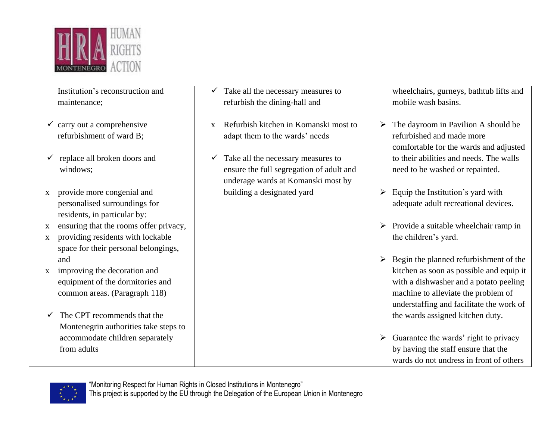

Institution's reconstruction and maintenance;

- $\checkmark$  carry out a comprehensive refurbishment of ward B;
- $\checkmark$  replace all broken doors and windows;
- x provide more congenial and personalised surroundings for residents, in particular by:
- x ensuring that the rooms offer privacy,
- x providing residents with lockable space for their personal belongings, and
- x improving the decoration and equipment of the dormitories and common areas. (Paragraph 118)
- $\checkmark$  The CPT recommends that the Montenegrin authorities take steps to accommodate children separately from adults
- $\checkmark$  Take all the necessary measures to refurbish the dining-hall and
- x Refurbish kitchen in Komanski most to adapt them to the wards' needs
- $\checkmark$  Take all the necessary measures to ensure the full segregation of adult and underage wards at Komanski most by building a designated yard

wheelchairs, gurneys, bathtub lifts and mobile wash basins.

- $\triangleright$  The dayroom in Pavilion A should be refurbished and made more comfortable for the wards and adjusted to their abilities and needs. The walls need to be washed or repainted.
- $\triangleright$  Equip the Institution's yard with adequate adult recreational devices.
- $\triangleright$  Provide a suitable wheelchair ramp in the children's yard.
- $\triangleright$  Begin the planned refurbishment of the kitchen as soon as possible and equip it with a dishwasher and a potato peeling machine to alleviate the problem of understaffing and facilitate the work of the wards assigned kitchen duty.
- $\triangleright$  Guarantee the wards' right to privacy by having the staff ensure that the wards do not undress in front of others

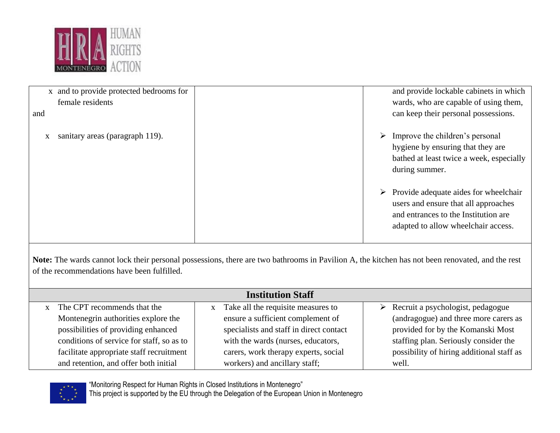

| x and to provide protected bedrooms for | and provide lockable cabinets in which                                                                                                                                        |
|-----------------------------------------|-------------------------------------------------------------------------------------------------------------------------------------------------------------------------------|
| female residents                        | wards, who are capable of using them,                                                                                                                                         |
| and                                     | can keep their personal possessions.                                                                                                                                          |
| sanitary areas (paragraph 119).         | $\triangleright$ Improve the children's personal<br>hygiene by ensuring that they are<br>bathed at least twice a week, especially<br>during summer.                           |
|                                         | $\triangleright$ Provide adequate aides for wheelchair<br>users and ensure that all approaches<br>and entrances to the Institution are<br>adapted to allow wheelchair access. |

**Note:** The wards cannot lock their personal possessions, there are two bathrooms in Pavilion A, the kitchen has not been renovated, and the rest of the recommendations have been fulfilled.

| <b>Institution Staff</b>                  |                                                    |                                                    |  |
|-------------------------------------------|----------------------------------------------------|----------------------------------------------------|--|
| x The CPT recommends that the             | Take all the requisite measures to<br>$\mathbf{x}$ | $\triangleright$ Recruit a psychologist, pedagogue |  |
| Montenegrin authorities explore the       | ensure a sufficient complement of                  | (andragogue) and three more carers as              |  |
| possibilities of providing enhanced       | specialists and staff in direct contact            | provided for by the Komanski Most                  |  |
| conditions of service for staff, so as to | with the wards (nurses, educators,                 | staffing plan. Seriously consider the              |  |
| facilitate appropriate staff recruitment  | carers, work therapy experts, social               | possibility of hiring additional staff as          |  |
| and retention, and offer both initial     | workers) and ancillary staff;                      | well.                                              |  |



"Monitoring Respect for Human Rights in Closed Institutions in Montenegro"

This project is supported by the EU through the Delegation of the European Union in Montenegro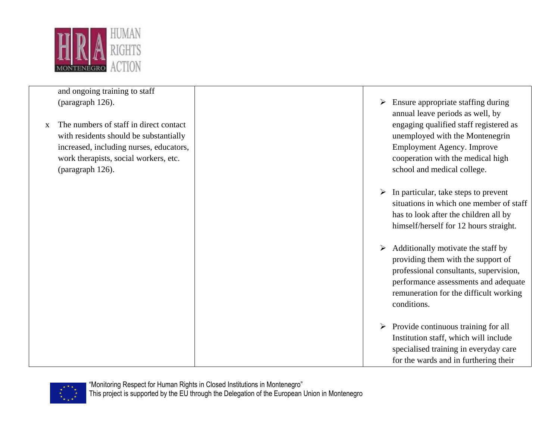

and ongoing training to staff (paragraph 126).

x The numbers of staff in direct contact with residents should be substantially increased, including nurses, educators, work therapists, social workers, etc. (paragraph 126).

- $\triangleright$  Ensure appropriate staffing during annual leave periods as well, by engaging qualified staff registered as unemployed with the Montenegrin Employment Agency. Improve cooperation with the medical high school and medical college.
- $\triangleright$  In particular, take steps to prevent situations in which one member of staff has to look after the children all by himself/herself for 12 hours straight.
- $\triangleright$  Additionally motivate the staff by providing them with the support of professional consultants, supervision, performance assessments and adequate remuneration for the difficult working conditions.
- $\triangleright$  Provide continuous training for all Institution staff, which will include specialised training in everyday care for the wards and in furthering their

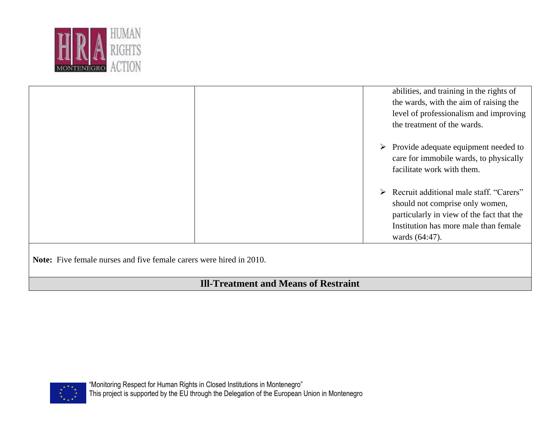

| abilities, and training in the rights of<br>the wards, with the aim of raising the<br>level of professionalism and improving<br>the treatment of the wards.                          |
|--------------------------------------------------------------------------------------------------------------------------------------------------------------------------------------|
| $\triangleright$ Provide adequate equipment needed to<br>care for immobile wards, to physically<br>facilitate work with them.                                                        |
| > Recruit additional male staff. "Carers"<br>should not comprise only women,<br>particularly in view of the fact that the<br>Institution has more male than female<br>wards (64:47). |

**Note:** Five female nurses and five female carers were hired in 2010.

## **Ill-Treatment and Means of Restraint**

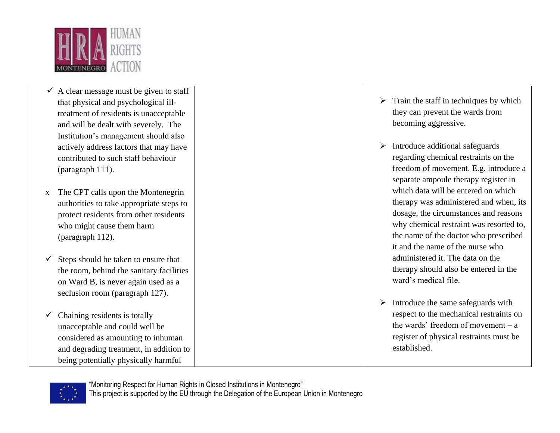

- $\overline{\smile}$  A clear message must be given to staff that physical and psychological illtreatment of residents is unacceptable and will be dealt with severely. The Institution's management should also actively address factors that may have contributed to such staff behaviour (paragraph 111).
- x The CPT calls upon the Montenegrin authorities to take appropriate steps to protect residents from other residents who might cause them harm (paragraph 112).
- $\checkmark$  Steps should be taken to ensure that the room, behind the sanitary facilities on Ward B, is never again used as a seclusion room (paragraph 127).
- $\checkmark$  Chaining residents is totally unacceptable and could well be considered as amounting to inhuman and degrading treatment, in addition to being potentially physically harmful
- $\triangleright$  Train the staff in techniques by which they can prevent the wards from becoming aggressive.
- $\triangleright$  Introduce additional safeguards regarding chemical restraints on the freedom of movement. E.g. introduce a separate ampoule therapy register in which data will be entered on which therapy was administered and when, its dosage, the circumstances and reasons why chemical restraint was resorted to, the name of the doctor who prescribed it and the name of the nurse who administered it. The data on the therapy should also be entered in the ward's medical file.
- $\triangleright$  Introduce the same safeguards with respect to the mechanical restraints on the wards' freedom of movement – a register of physical restraints must be established.

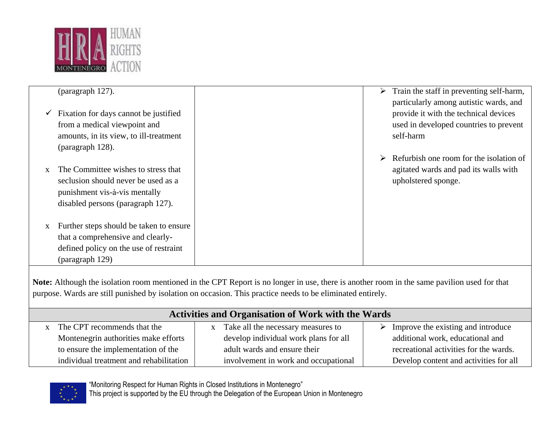

|   | (paragraph 127).                                   |  | Train the staff in preventing self-harm, |
|---|----------------------------------------------------|--|------------------------------------------|
|   |                                                    |  | particularly among autistic wards, and   |
|   | $\checkmark$ Fixation for days cannot be justified |  | provide it with the technical devices    |
|   | from a medical viewpoint and                       |  | used in developed countries to prevent   |
|   | amounts, in its view, to ill-treatment             |  | self-harm                                |
|   | (paragraph 128).                                   |  |                                          |
|   |                                                    |  | Refurbish one room for the isolation of  |
|   | The Committee wishes to stress that                |  | agitated wards and pad its walls with    |
|   | seclusion should never be used as a                |  | upholstered sponge.                      |
|   | punishment vis-à-vis mentally                      |  |                                          |
|   | disabled persons (paragraph 127).                  |  |                                          |
|   |                                                    |  |                                          |
| X | Further steps should be taken to ensure            |  |                                          |
|   | that a comprehensive and clearly-                  |  |                                          |
|   | defined policy on the use of restraint             |  |                                          |
|   | (paragraph 129)                                    |  |                                          |

**Note:** Although the isolation room mentioned in the CPT Report is no longer in use, there is another room in the same pavilion used for that purpose. Wards are still punished by isolation on occasion. This practice needs to be eliminated entirely.

| <b>Activities and Organisation of Work with the Wards</b> |                                       |                                                     |  |
|-----------------------------------------------------------|---------------------------------------|-----------------------------------------------------|--|
| The CPT recommends that the                               | Take all the necessary measures to    | $\triangleright$ Improve the existing and introduce |  |
| Montenegrin authorities make efforts                      | develop individual work plans for all | additional work, educational and                    |  |
| to ensure the implementation of the                       | adult wards and ensure their          | recreational activities for the wards.              |  |
| individual treatment and rehabilitation                   | involvement in work and occupational  | Develop content and activities for all              |  |



"Monitoring Respect for Human Rights in Closed Institutions in Montenegro"

This project is supported by the EU through the Delegation of the European Union in Montenegro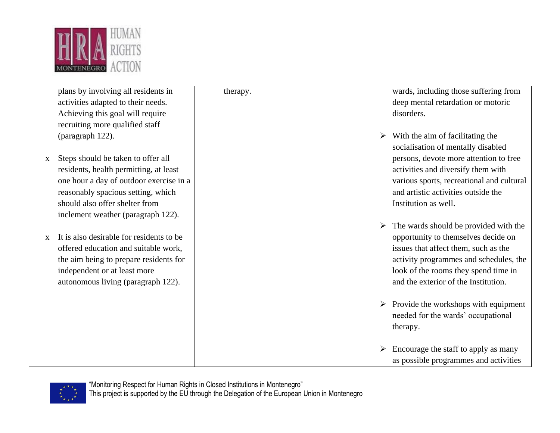

|              | plans by involving all residents in      | therapy. | wards, including those suffering from                 |
|--------------|------------------------------------------|----------|-------------------------------------------------------|
|              | activities adapted to their needs.       |          | deep mental retardation or motoric                    |
|              | Achieving this goal will require         |          | disorders.                                            |
|              | recruiting more qualified staff          |          |                                                       |
|              | (paragraph 122).                         |          | $\triangleright$ With the aim of facilitating the     |
|              |                                          |          | socialisation of mentally disabled                    |
| $\mathbf{X}$ | Steps should be taken to offer all       |          | persons, devote more attention to free                |
|              | residents, health permitting, at least   |          | activities and diversify them with                    |
|              | one hour a day of outdoor exercise in a  |          | various sports, recreational and cultural             |
|              | reasonably spacious setting, which       |          | and artistic activities outside the                   |
|              | should also offer shelter from           |          | Institution as well.                                  |
|              | inclement weather (paragraph 122).       |          |                                                       |
|              |                                          |          | The wards should be provided with the                 |
| $\mathbf{x}$ | It is also desirable for residents to be |          | opportunity to themselves decide on                   |
|              | offered education and suitable work,     |          | issues that affect them, such as the                  |
|              | the aim being to prepare residents for   |          | activity programmes and schedules, the                |
|              | independent or at least more             |          | look of the rooms they spend time in                  |
|              | autonomous living (paragraph 122).       |          | and the exterior of the Institution.                  |
|              |                                          |          |                                                       |
|              |                                          |          | $\triangleright$ Provide the workshops with equipment |
|              |                                          |          | needed for the wards' occupational                    |
|              |                                          |          | therapy.                                              |
|              |                                          |          | Encourage the staff to apply as many                  |
|              |                                          |          | as possible programmes and activities                 |
|              |                                          |          |                                                       |

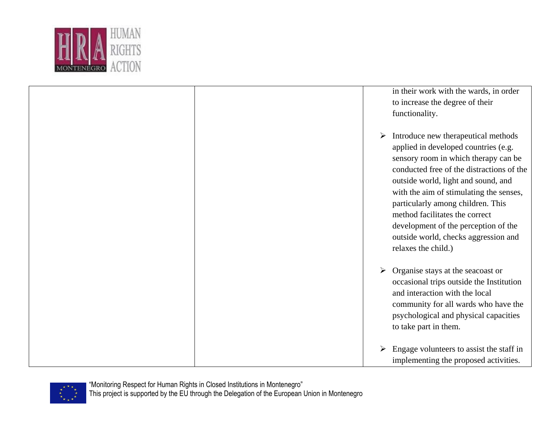

| in their work with the wards, in order<br>to increase the degree of their<br>functionality.                                                                                                                                                                                                                                                                                                                                           |
|---------------------------------------------------------------------------------------------------------------------------------------------------------------------------------------------------------------------------------------------------------------------------------------------------------------------------------------------------------------------------------------------------------------------------------------|
| Introduce new therapeutical methods<br>➤<br>applied in developed countries (e.g.<br>sensory room in which therapy can be<br>conducted free of the distractions of the<br>outside world, light and sound, and<br>with the aim of stimulating the senses,<br>particularly among children. This<br>method facilitates the correct<br>development of the perception of the<br>outside world, checks aggression and<br>relaxes the child.) |
| Organise stays at the seacoast or<br>➤<br>occasional trips outside the Institution<br>and interaction with the local<br>community for all wards who have the<br>psychological and physical capacities<br>to take part in them.                                                                                                                                                                                                        |
| Engage volunteers to assist the staff in<br>➤<br>implementing the proposed activities.                                                                                                                                                                                                                                                                                                                                                |

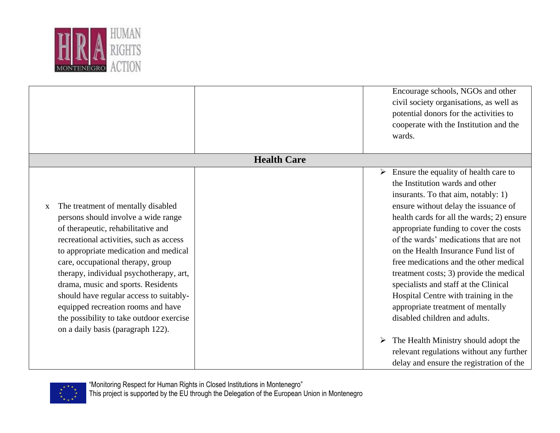

|                                                                                                                                                                                                                                                                                                                                                                                                                                                                                                  |                    | Encourage schools, NGOs and other<br>civil society organisations, as well as<br>potential donors for the activities to<br>cooperate with the Institution and the<br>wards.                                                                                                                                                                                                                                                                                                                                                                                                                                                                                            |
|--------------------------------------------------------------------------------------------------------------------------------------------------------------------------------------------------------------------------------------------------------------------------------------------------------------------------------------------------------------------------------------------------------------------------------------------------------------------------------------------------|--------------------|-----------------------------------------------------------------------------------------------------------------------------------------------------------------------------------------------------------------------------------------------------------------------------------------------------------------------------------------------------------------------------------------------------------------------------------------------------------------------------------------------------------------------------------------------------------------------------------------------------------------------------------------------------------------------|
|                                                                                                                                                                                                                                                                                                                                                                                                                                                                                                  | <b>Health Care</b> |                                                                                                                                                                                                                                                                                                                                                                                                                                                                                                                                                                                                                                                                       |
| The treatment of mentally disabled<br>X<br>persons should involve a wide range<br>of therapeutic, rehabilitative and<br>recreational activities, such as access<br>to appropriate medication and medical<br>care, occupational therapy, group<br>therapy, individual psychotherapy, art,<br>drama, music and sports. Residents<br>should have regular access to suitably-<br>equipped recreation rooms and have<br>the possibility to take outdoor exercise<br>on a daily basis (paragraph 122). |                    | Ensure the equality of health care to<br>➤<br>the Institution wards and other<br>insurants. To that aim, notably: 1)<br>ensure without delay the issuance of<br>health cards for all the wards; 2) ensure<br>appropriate funding to cover the costs<br>of the wards' medications that are not<br>on the Health Insurance Fund list of<br>free medications and the other medical<br>treatment costs; 3) provide the medical<br>specialists and staff at the Clinical<br>Hospital Centre with training in the<br>appropriate treatment of mentally<br>disabled children and adults.<br>The Health Ministry should adopt the<br>relevant regulations without any further |

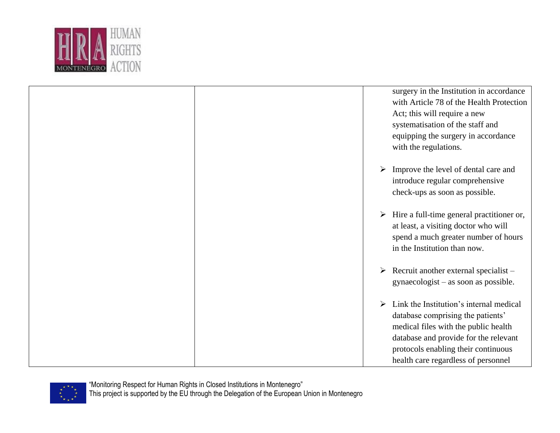

|  | surgery in the Institution in accordance       |
|--|------------------------------------------------|
|  | with Article 78 of the Health Protection       |
|  | Act; this will require a new                   |
|  | systematisation of the staff and               |
|  |                                                |
|  | equipping the surgery in accordance            |
|  | with the regulations.                          |
|  |                                                |
|  | Improve the level of dental care and<br>➤      |
|  | introduce regular comprehensive                |
|  | check-ups as soon as possible.                 |
|  |                                                |
|  |                                                |
|  | Hire a full-time general practitioner or,<br>➤ |
|  | at least, a visiting doctor who will           |
|  | spend a much greater number of hours           |
|  | in the Institution than now.                   |
|  |                                                |
|  | Recruit another external specialist -<br>➤     |
|  |                                                |
|  | gynaecologist – as soon as possible.           |
|  |                                                |
|  | Link the Institution's internal medical<br>➤   |
|  | database comprising the patients'              |
|  | medical files with the public health           |
|  | database and provide for the relevant          |
|  | protocols enabling their continuous            |
|  |                                                |
|  | health care regardless of personnel            |

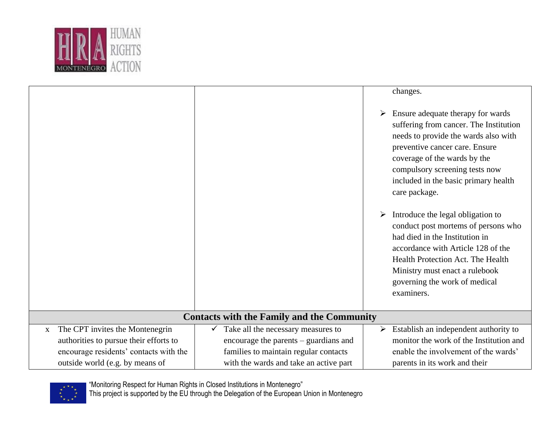

|                                                                                                                                                                        |                                                                                                                                                                                | changes.<br>Ensure adequate therapy for wards<br>➤<br>suffering from cancer. The Institution<br>needs to provide the wards also with<br>preventive cancer care. Ensure<br>coverage of the wards by the<br>compulsory screening tests now<br>included in the basic primary health<br>care package. |
|------------------------------------------------------------------------------------------------------------------------------------------------------------------------|--------------------------------------------------------------------------------------------------------------------------------------------------------------------------------|---------------------------------------------------------------------------------------------------------------------------------------------------------------------------------------------------------------------------------------------------------------------------------------------------|
|                                                                                                                                                                        |                                                                                                                                                                                | Introduce the legal obligation to<br>➤<br>conduct post mortems of persons who<br>had died in the Institution in<br>accordance with Article 128 of the<br>Health Protection Act. The Health<br>Ministry must enact a rulebook<br>governing the work of medical<br>examiners.                       |
|                                                                                                                                                                        | <b>Contacts with the Family and the Community</b>                                                                                                                              |                                                                                                                                                                                                                                                                                                   |
| The CPT invites the Montenegrin<br>$\mathbf{X}$<br>authorities to pursue their efforts to<br>encourage residents' contacts with the<br>outside world (e.g. by means of | Take all the necessary measures to<br>$\checkmark$<br>encourage the parents – guardians and<br>families to maintain regular contacts<br>with the wards and take an active part | Establish an independent authority to<br>➤<br>monitor the work of the Institution and<br>enable the involvement of the wards'<br>parents in its work and their                                                                                                                                    |

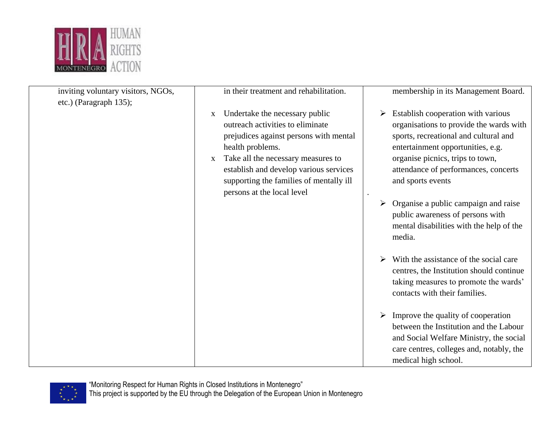

| inviting voluntary visitors, NGOs,<br>etc.) (Paragraph 135); | in their treatment and rehabilitation.                                                                                                                                                                                                                                                                                    | membership in its Management Board.                                                                                                                                                                                                                                                                                    |
|--------------------------------------------------------------|---------------------------------------------------------------------------------------------------------------------------------------------------------------------------------------------------------------------------------------------------------------------------------------------------------------------------|------------------------------------------------------------------------------------------------------------------------------------------------------------------------------------------------------------------------------------------------------------------------------------------------------------------------|
|                                                              | Undertake the necessary public<br>$\mathbf{X}$<br>outreach activities to eliminate<br>prejudices against persons with mental<br>health problems.<br>Take all the necessary measures to<br>$\mathbf{X}$<br>establish and develop various services<br>supporting the families of mentally ill<br>persons at the local level | Establish cooperation with various<br>organisations to provide the wards with<br>sports, recreational and cultural and<br>entertainment opportunities, e.g.<br>organise picnics, trips to town,<br>attendance of performances, concerts<br>and sports events<br>$\bullet$<br>Organise a public campaign and raise<br>➤ |
|                                                              |                                                                                                                                                                                                                                                                                                                           | public awareness of persons with<br>mental disabilities with the help of the<br>media.                                                                                                                                                                                                                                 |
|                                                              |                                                                                                                                                                                                                                                                                                                           | With the assistance of the social care<br>➤<br>centres, the Institution should continue<br>taking measures to promote the wards'<br>contacts with their families.                                                                                                                                                      |
|                                                              |                                                                                                                                                                                                                                                                                                                           | $\triangleright$ Improve the quality of cooperation<br>between the Institution and the Labour<br>and Social Welfare Ministry, the social<br>care centres, colleges and, notably, the<br>medical high school.                                                                                                           |

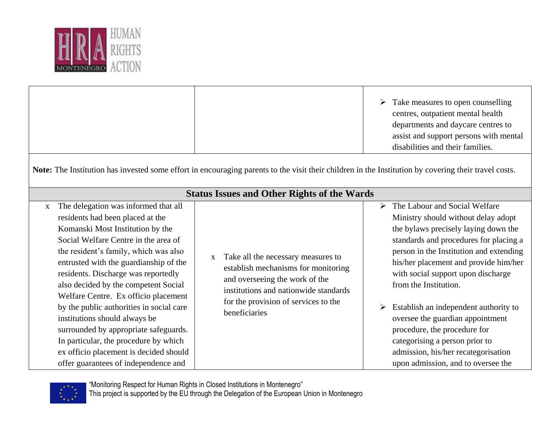

|                                                                                                                                                      |                                                                                                                                                                                                                                                                                                                                                                                                                                                                                                                                                                                                                 |   |                                                                                                                                                                                                               | ➤ | Take measures to open counselling<br>centres, outpatient mental health<br>departments and daycare centres to<br>assist and support persons with mental<br>disabilities and their families.                                                                                                                                                                                                                                                                                                                                            |  |
|------------------------------------------------------------------------------------------------------------------------------------------------------|-----------------------------------------------------------------------------------------------------------------------------------------------------------------------------------------------------------------------------------------------------------------------------------------------------------------------------------------------------------------------------------------------------------------------------------------------------------------------------------------------------------------------------------------------------------------------------------------------------------------|---|---------------------------------------------------------------------------------------------------------------------------------------------------------------------------------------------------------------|---|---------------------------------------------------------------------------------------------------------------------------------------------------------------------------------------------------------------------------------------------------------------------------------------------------------------------------------------------------------------------------------------------------------------------------------------------------------------------------------------------------------------------------------------|--|
| Note: The Institution has invested some effort in encouraging parents to the visit their children in the Institution by covering their travel costs. |                                                                                                                                                                                                                                                                                                                                                                                                                                                                                                                                                                                                                 |   |                                                                                                                                                                                                               |   |                                                                                                                                                                                                                                                                                                                                                                                                                                                                                                                                       |  |
| <b>Status Issues and Other Rights of the Wards</b>                                                                                                   |                                                                                                                                                                                                                                                                                                                                                                                                                                                                                                                                                                                                                 |   |                                                                                                                                                                                                               |   |                                                                                                                                                                                                                                                                                                                                                                                                                                                                                                                                       |  |
| $\mathbf{X}$                                                                                                                                         | The delegation was informed that all<br>residents had been placed at the<br>Komanski Most Institution by the<br>Social Welfare Centre in the area of<br>the resident's family, which was also<br>entrusted with the guardianship of the<br>residents. Discharge was reportedly<br>also decided by the competent Social<br>Welfare Centre. Ex officio placement<br>by the public authorities in social care<br>institutions should always be<br>surrounded by appropriate safeguards.<br>In particular, the procedure by which<br>ex officio placement is decided should<br>offer guarantees of independence and | X | Take all the necessary measures to<br>establish mechanisms for monitoring<br>and overseeing the work of the<br>institutions and nationwide standards<br>for the provision of services to the<br>beneficiaries | ➤ | The Labour and Social Welfare<br>Ministry should without delay adopt<br>the bylaws precisely laying down the<br>standards and procedures for placing a<br>person in the Institution and extending<br>his/her placement and provide him/her<br>with social support upon discharge<br>from the Institution.<br>Establish an independent authority to<br>oversee the guardian appointment<br>procedure, the procedure for<br>categorising a person prior to<br>admission, his/her recategorisation<br>upon admission, and to oversee the |  |

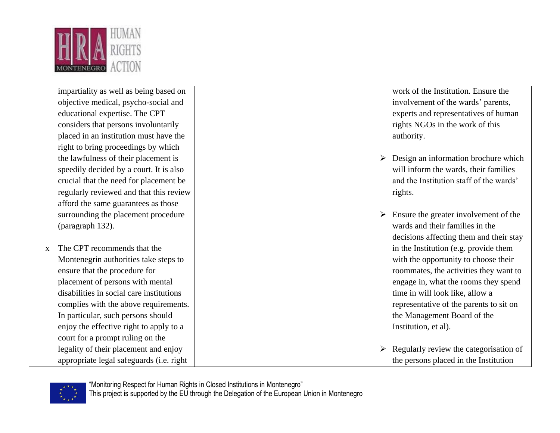

impartiality as well as being based on objective medical, psycho-social and educational expertise. The CPT considers that persons involuntarily placed in an institution must have the right to bring proceedings by which the lawfulness of their placement is speedily decided by a court. It is also crucial that the need for placement be regularly reviewed and that this review afford the same guarantees as those surrounding the placement procedure (paragraph 132).

x The CPT recommends that the Montenegrin authorities take steps to ensure that the procedure for placement of persons with mental disabilities in social care institutions complies with the above requirements. In particular, such persons should enjoy the effective right to apply to a court for a prompt ruling on the legality of their placement and enjoy appropriate legal safeguards (i.e. right

work of the Institution. Ensure the involvement of the wards' parents, experts and representatives of human rights NGOs in the work of this authority.

- $\triangleright$  Design an information brochure which will inform the wards, their families and the Institution staff of the wards' rights.
- $\triangleright$  Ensure the greater involvement of the wards and their families in the decisions affecting them and their stay in the Institution (e.g. provide them with the opportunity to choose their roommates, the activities they want to engage in, what the rooms they spend time in will look like, allow a representative of the parents to sit on the Management Board of the Institution, et al).
- $\triangleright$  Regularly review the categorisation of the persons placed in the Institution

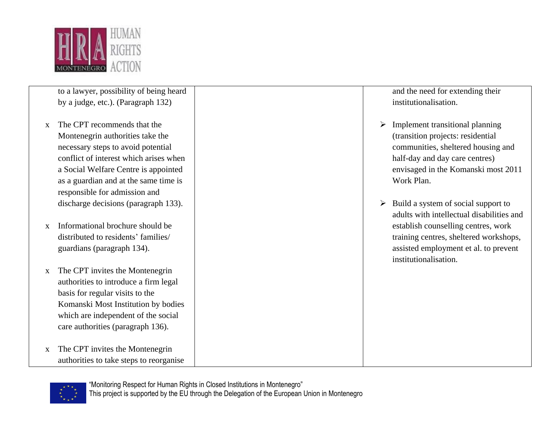

to a lawyer, possibility of being heard by a judge, etc.). (Paragraph 132)

- x The CPT recommends that the Montenegrin authorities take the necessary steps to avoid potential conflict of interest which arises when a Social Welfare Centre is appointed as a guardian and at the same time is responsible for admission and discharge decisions (paragraph 133).
- x Informational brochure should be distributed to residents' families/ guardians (paragraph 134).
- x The CPT invites the Montenegrin authorities to introduce a firm legal basis for regular visits to the Komanski Most Institution by bodies which are independent of the social care authorities (paragraph 136).
- x The CPT invites the Montenegrin authorities to take steps to reorganise

and the need for extending their institutionalisation.

- $\triangleright$  Implement transitional planning (transition projects: residential communities, sheltered housing and half-day and day care centres) envisaged in the Komanski most 2011 Work Plan.
- $\triangleright$  Build a system of social support to adults with intellectual disabilities and establish counselling centres, work training centres, sheltered workshops, assisted employment et al. to prevent institutionalisation.